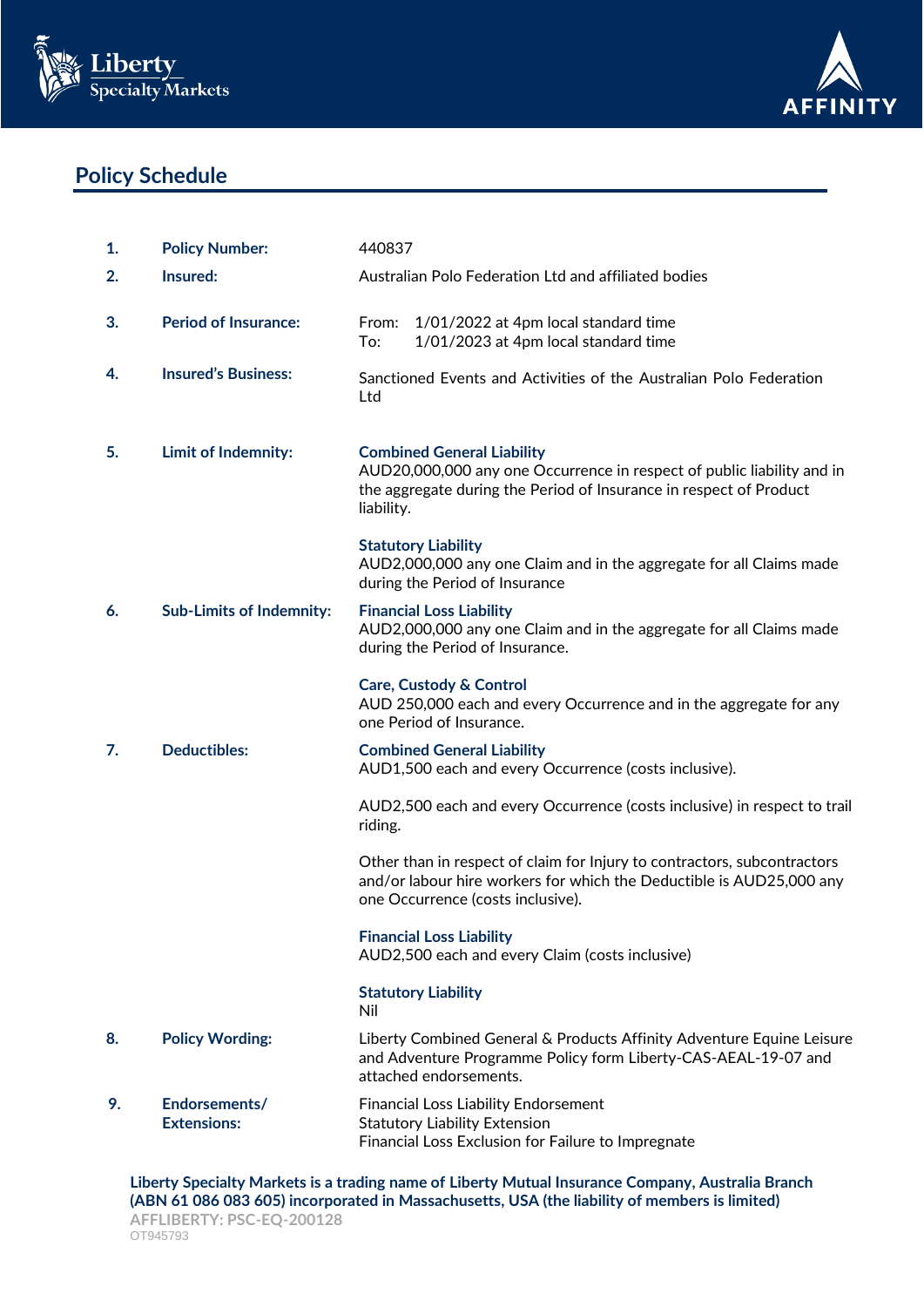



# **Policy Schedule**

| 1. | <b>Policy Number:</b>               | 440837                                                                                                                                                                                                                                                                                               |
|----|-------------------------------------|------------------------------------------------------------------------------------------------------------------------------------------------------------------------------------------------------------------------------------------------------------------------------------------------------|
| 2. | Insured:                            | Australian Polo Federation Ltd and affiliated bodies                                                                                                                                                                                                                                                 |
| 3. | <b>Period of Insurance:</b>         | From:<br>1/01/2022 at 4pm local standard time<br>To:<br>1/01/2023 at 4pm local standard time                                                                                                                                                                                                         |
| 4. | <b>Insured's Business:</b>          | Sanctioned Events and Activities of the Australian Polo Federation<br>Ltd                                                                                                                                                                                                                            |
| 5. | Limit of Indemnity:                 | <b>Combined General Liability</b><br>AUD20,000,000 any one Occurrence in respect of public liability and in<br>the aggregate during the Period of Insurance in respect of Product<br>liability.<br><b>Statutory Liability</b><br>AUD2,000,000 any one Claim and in the aggregate for all Claims made |
|    |                                     | during the Period of Insurance                                                                                                                                                                                                                                                                       |
| 6. | <b>Sub-Limits of Indemnity:</b>     | <b>Financial Loss Liability</b><br>AUD2,000,000 any one Claim and in the aggregate for all Claims made<br>during the Period of Insurance.                                                                                                                                                            |
|    |                                     | <b>Care, Custody &amp; Control</b><br>AUD 250,000 each and every Occurrence and in the aggregate for any<br>one Period of Insurance.                                                                                                                                                                 |
| 7. | <b>Deductibles:</b>                 | <b>Combined General Liability</b><br>AUD1,500 each and every Occurrence (costs inclusive).                                                                                                                                                                                                           |
|    |                                     | AUD2,500 each and every Occurrence (costs inclusive) in respect to trail<br>riding.                                                                                                                                                                                                                  |
|    |                                     | Other than in respect of claim for Injury to contractors, subcontractors<br>and/or labour hire workers for which the Deductible is AUD25,000 any<br>one Occurrence (costs inclusive).                                                                                                                |
|    |                                     | <b>Financial Loss Liability</b><br>AUD2,500 each and every Claim (costs inclusive)                                                                                                                                                                                                                   |
|    |                                     | <b>Statutory Liability</b><br>Nil                                                                                                                                                                                                                                                                    |
| 8. | <b>Policy Wording:</b>              | Liberty Combined General & Products Affinity Adventure Equine Leisure<br>and Adventure Programme Policy form Liberty-CAS-AEAL-19-07 and<br>attached endorsements.                                                                                                                                    |
| 9. | Endorsements/<br><b>Extensions:</b> | <b>Financial Loss Liability Endorsement</b><br><b>Statutory Liability Extension</b><br>Financial Loss Exclusion for Failure to Impregnate                                                                                                                                                            |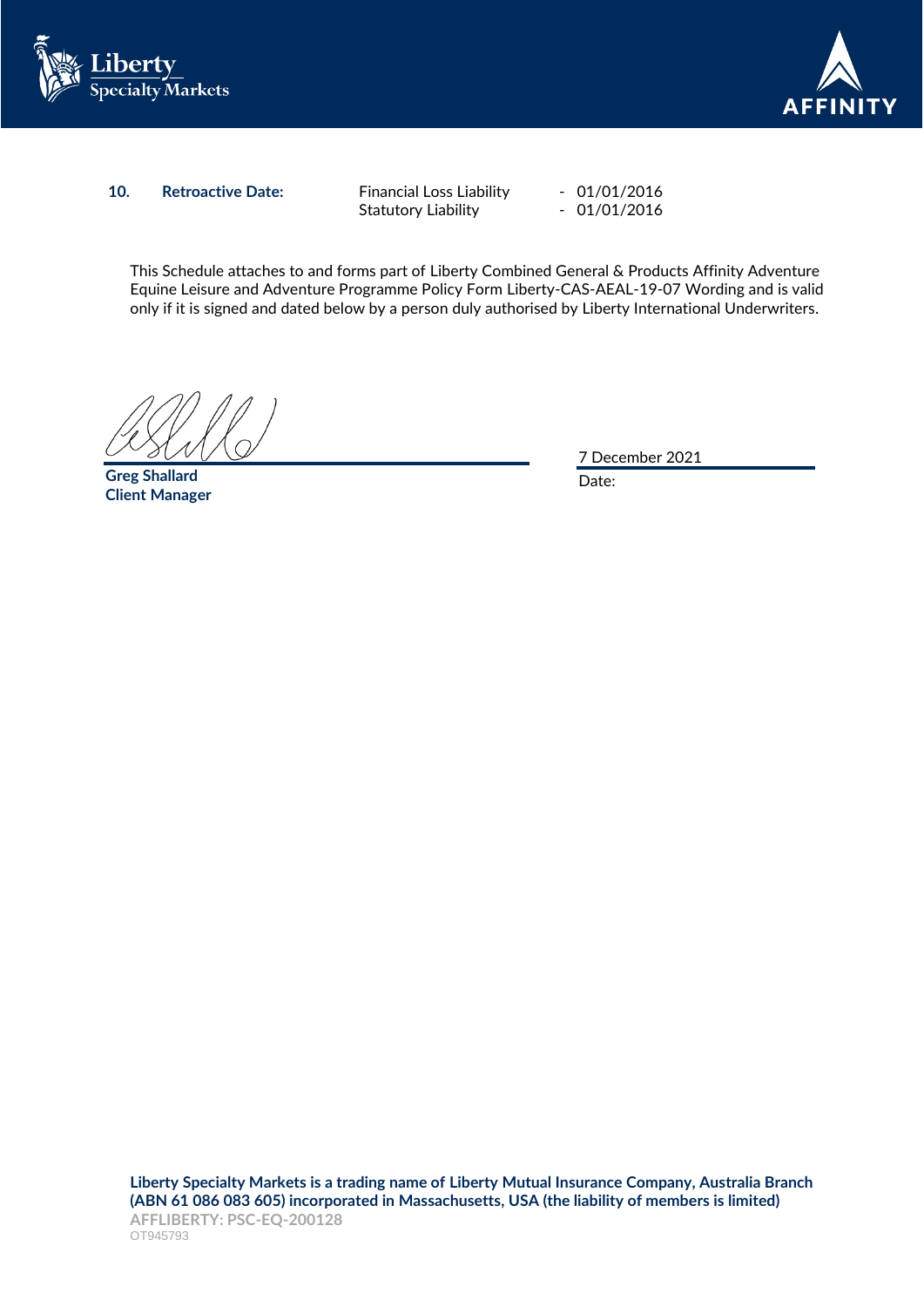



### **10. Retroactive Date:** Financial Loss Liability - 01/01/2016

Statutory Liability - 01/01/2016

This Schedule attaches to and forms part of Liberty Combined General & Products Affinity Adventure Equine Leisure and Adventure Programme Policy Form Liberty-CAS-AEAL-19-07 Wording and is valid only if it is signed and dated below by a person duly authorised by Liberty International Underwriters.

**Greg Shallard Client Manager**

7 December 2021

Date: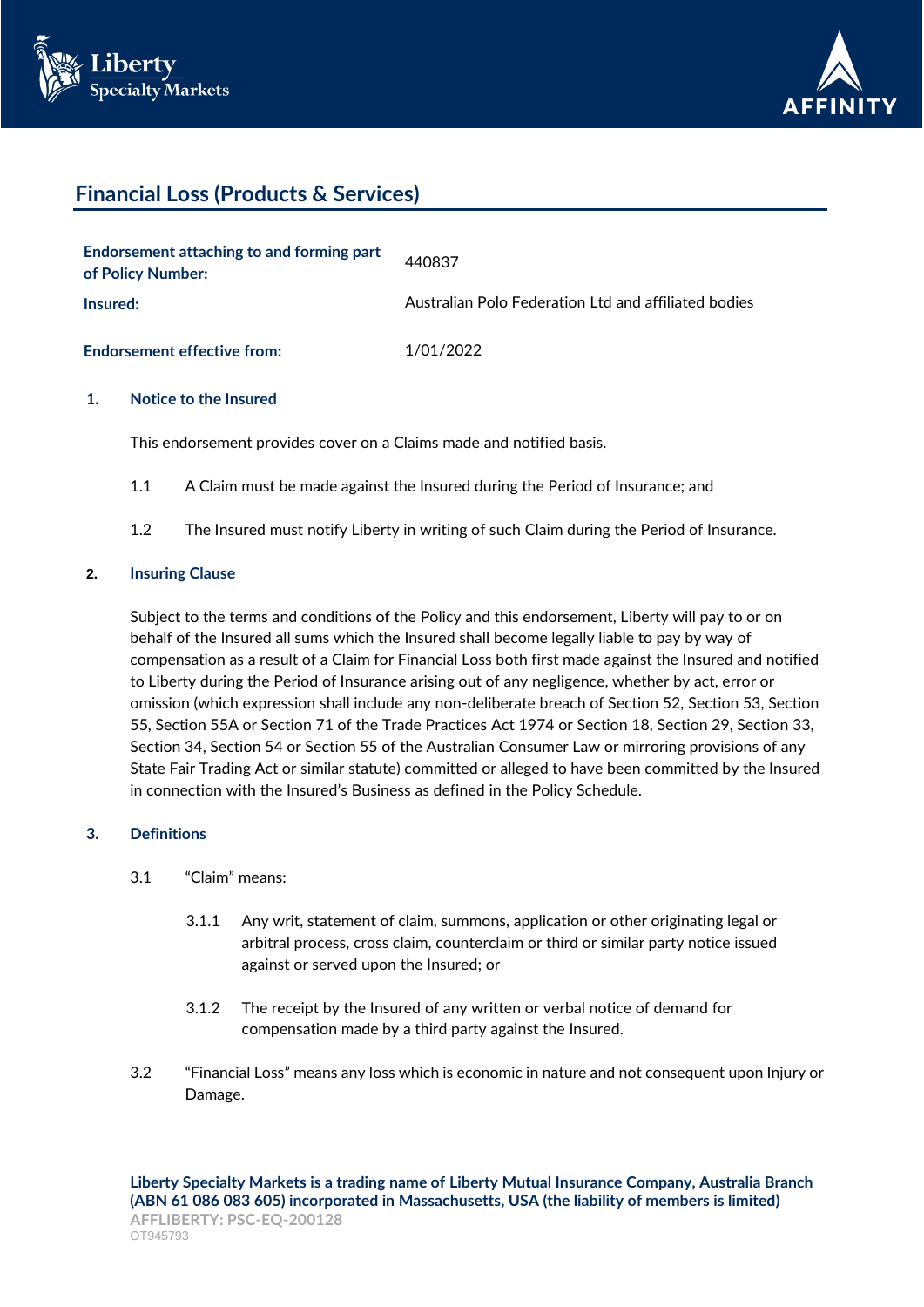



# **Financial Loss (Products & Services)**

| Endorsement attaching to and forming part<br>of Policy Number: | 440837                                               |
|----------------------------------------------------------------|------------------------------------------------------|
| Insured:                                                       | Australian Polo Federation Ltd and affiliated bodies |
| <b>Endorsement effective from:</b>                             | 1/01/2022                                            |

### **1. Notice to the Insured**

This endorsement provides cover on a Claims made and notified basis.

- 1.1 A Claim must be made against the Insured during the Period of Insurance; and
- 1.2 The Insured must notify Liberty in writing of such Claim during the Period of Insurance.

### **2. Insuring Clause**

Subject to the terms and conditions of the Policy and this endorsement, Liberty will pay to or on behalf of the Insured all sums which the Insured shall become legally liable to pay by way of compensation as a result of a Claim for Financial Loss both first made against the Insured and notified to Liberty during the Period of Insurance arising out of any negligence, whether by act, error or omission (which expression shall include any non-deliberate breach of Section 52, Section 53, Section 55, Section 55A or Section 71 of the Trade Practices Act 1974 or Section 18, Section 29, Section 33, Section 34, Section 54 or Section 55 of the Australian Consumer Law or mirroring provisions of any State Fair Trading Act or similar statute) committed or alleged to have been committed by the Insured in connection with the Insured's Business as defined in the Policy Schedule.

## **3. Definitions**

- 3.1 "Claim" means:
	- 3.1.1 Any writ, statement of claim, summons, application or other originating legal or arbitral process, cross claim, counterclaim or third or similar party notice issued against or served upon the Insured; or
	- 3.1.2 The receipt by the Insured of any written or verbal notice of demand for compensation made by a third party against the Insured.
- 3.2 "Financial Loss" means any loss which is economic in nature and not consequent upon Injury or Damage.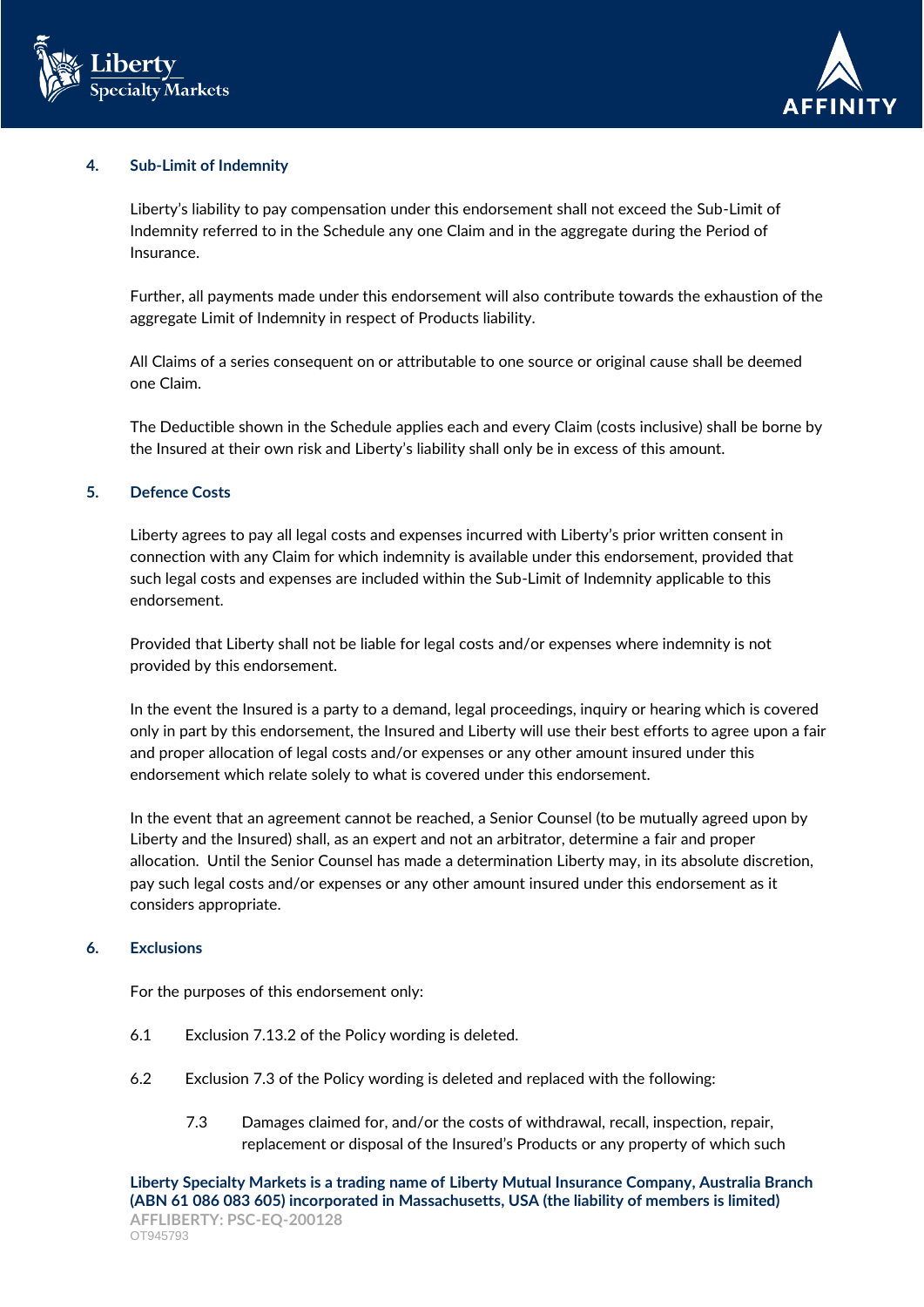



### **4. Sub-Limit of Indemnity**

Liberty's liability to pay compensation under this endorsement shall not exceed the Sub-Limit of Indemnity referred to in the Schedule any one Claim and in the aggregate during the Period of Insurance.

Further, all payments made under this endorsement will also contribute towards the exhaustion of the aggregate Limit of Indemnity in respect of Products liability.

All Claims of a series consequent on or attributable to one source or original cause shall be deemed one Claim.

The Deductible shown in the Schedule applies each and every Claim (costs inclusive) shall be borne by the Insured at their own risk and Liberty's liability shall only be in excess of this amount.

## **5. Defence Costs**

Liberty agrees to pay all legal costs and expenses incurred with Liberty's prior written consent in connection with any Claim for which indemnity is available under this endorsement, provided that such legal costs and expenses are included within the Sub-Limit of Indemnity applicable to this endorsement.

Provided that Liberty shall not be liable for legal costs and/or expenses where indemnity is not provided by this endorsement.

In the event the Insured is a party to a demand, legal proceedings, inquiry or hearing which is covered only in part by this endorsement, the Insured and Liberty will use their best efforts to agree upon a fair and proper allocation of legal costs and/or expenses or any other amount insured under this endorsement which relate solely to what is covered under this endorsement.

In the event that an agreement cannot be reached, a Senior Counsel (to be mutually agreed upon by Liberty and the Insured) shall, as an expert and not an arbitrator, determine a fair and proper allocation. Until the Senior Counsel has made a determination Liberty may, in its absolute discretion, pay such legal costs and/or expenses or any other amount insured under this endorsement as it considers appropriate.

### **6. Exclusions**

For the purposes of this endorsement only:

- 6.1 Exclusion 7.13.2 of the Policy wording is deleted.
- 6.2 Exclusion 7.3 of the Policy wording is deleted and replaced with the following:
	- 7.3 Damages claimed for, and/or the costs of withdrawal, recall, inspection, repair, replacement or disposal of the Insured's Products or any property of which such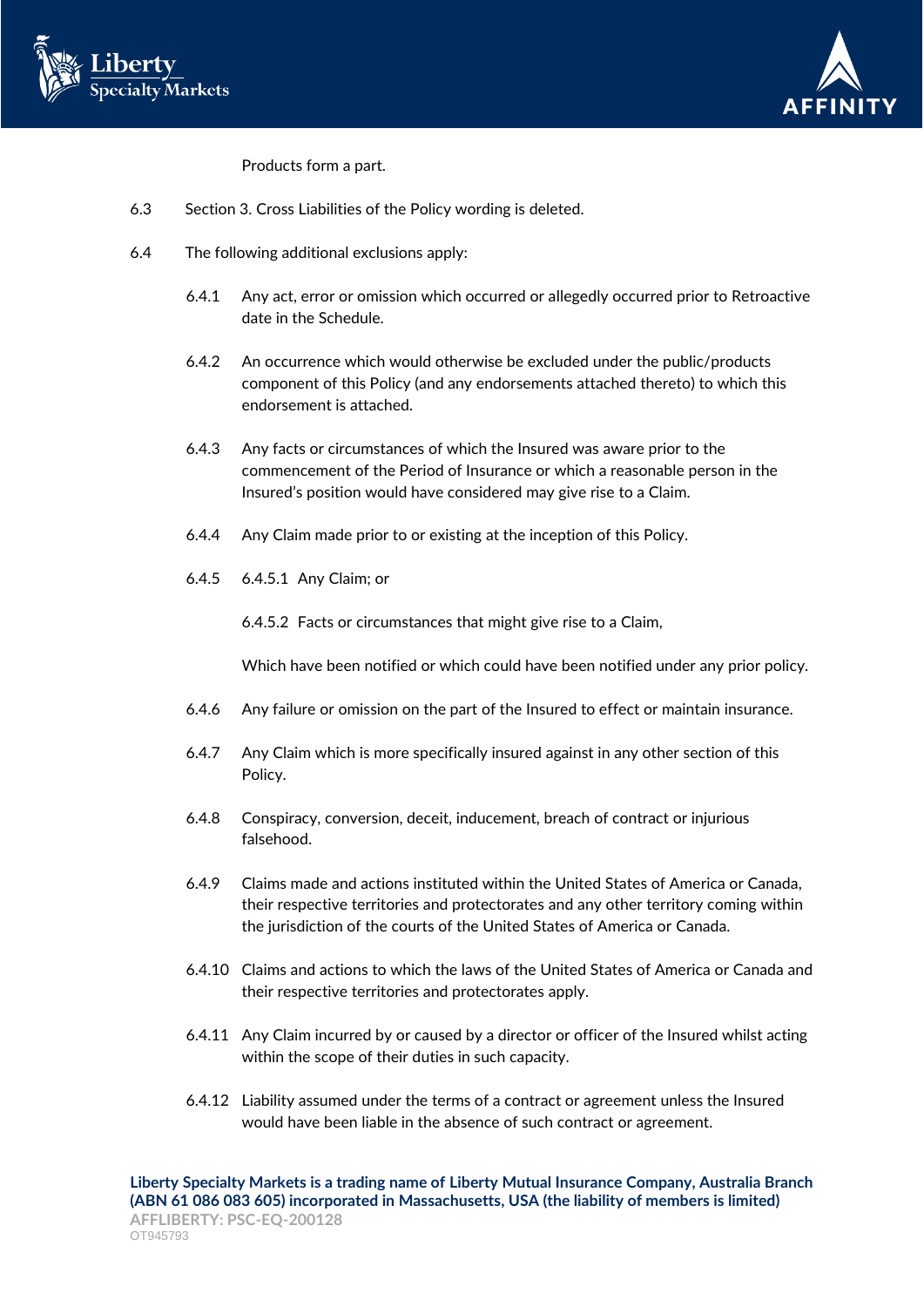



Products form a part.

- 6.3 Section 3. Cross Liabilities of the Policy wording is deleted.
- 6.4 The following additional exclusions apply:
	- 6.4.1 Any act, error or omission which occurred or allegedly occurred prior to Retroactive date in the Schedule.
	- 6.4.2 An occurrence which would otherwise be excluded under the public/products component of this Policy (and any endorsements attached thereto) to which this endorsement is attached.
	- 6.4.3 Any facts or circumstances of which the Insured was aware prior to the commencement of the Period of Insurance or which a reasonable person in the Insured's position would have considered may give rise to a Claim.
	- 6.4.4 Any Claim made prior to or existing at the inception of this Policy.
	- 6.4.5 6.4.5.1 Any Claim; or

6.4.5.2 Facts or circumstances that might give rise to a Claim,

Which have been notified or which could have been notified under any prior policy.

- 6.4.6 Any failure or omission on the part of the Insured to effect or maintain insurance.
- 6.4.7 Any Claim which is more specifically insured against in any other section of this Policy.
- 6.4.8 Conspiracy, conversion, deceit, inducement, breach of contract or injurious falsehood.
- 6.4.9 Claims made and actions instituted within the United States of America or Canada, their respective territories and protectorates and any other territory coming within the jurisdiction of the courts of the United States of America or Canada.
- 6.4.10 Claims and actions to which the laws of the United States of America or Canada and their respective territories and protectorates apply.
- 6.4.11 Any Claim incurred by or caused by a director or officer of the Insured whilst acting within the scope of their duties in such capacity.
- 6.4.12 Liability assumed under the terms of a contract or agreement unless the Insured would have been liable in the absence of such contract or agreement.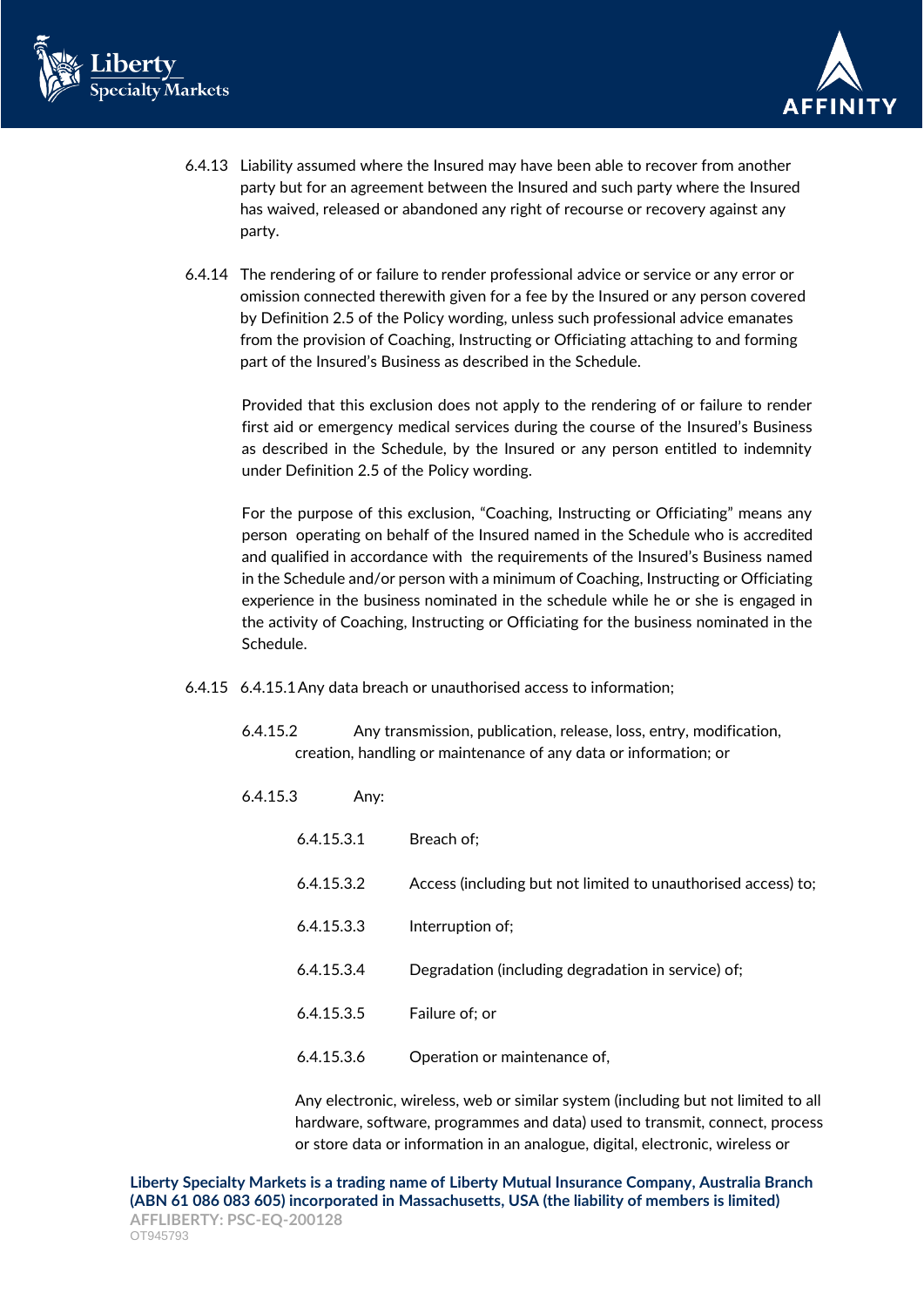



- 6.4.13 Liability assumed where the Insured may have been able to recover from another party but for an agreement between the Insured and such party where the Insured has waived, released or abandoned any right of recourse or recovery against any party.
- 6.4.14 The rendering of or failure to render professional advice or service or any error or omission connected therewith given for a fee by the Insured or any person covered by Definition 2.5 of the Policy wording, unless such professional advice emanates from the provision of Coaching, Instructing or Officiating attaching to and forming part of the Insured's Business as described in the Schedule.

Provided that this exclusion does not apply to the rendering of or failure to render first aid or emergency medical services during the course of the Insured's Business as described in the Schedule, by the Insured or any person entitled to indemnity under Definition 2.5 of the Policy wording.

For the purpose of this exclusion, "Coaching, Instructing or Officiating" means any person operating on behalf of the Insured named in the Schedule who is accredited and qualified in accordance with the requirements of the Insured's Business named in the Schedule and/or person with a minimum of Coaching, Instructing or Officiating experience in the business nominated in the schedule while he or she is engaged in the activity of Coaching, Instructing or Officiating for the business nominated in the Schedule.

- 6.4.15 6.4.15.1Any data breach or unauthorised access to information;
	- 6.4.15.2 Any transmission, publication, release, loss, entry, modification, creation, handling or maintenance of any data or information; or
	- 6.4.15.3 Any:

| 6.4.15.3.1 | Breach of:                                                    |
|------------|---------------------------------------------------------------|
| 6.4.15.3.2 | Access (including but not limited to unauthorised access) to; |
| 6.4.15.3.3 | Interruption of;                                              |
| 6.4.15.3.4 | Degradation (including degradation in service) of;            |
| 6.4.15.3.5 | Failure of; or                                                |
| 6.4.15.3.6 | Operation or maintenance of,                                  |

Any electronic, wireless, web or similar system (including but not limited to all hardware, software, programmes and data) used to transmit, connect, process or store data or information in an analogue, digital, electronic, wireless or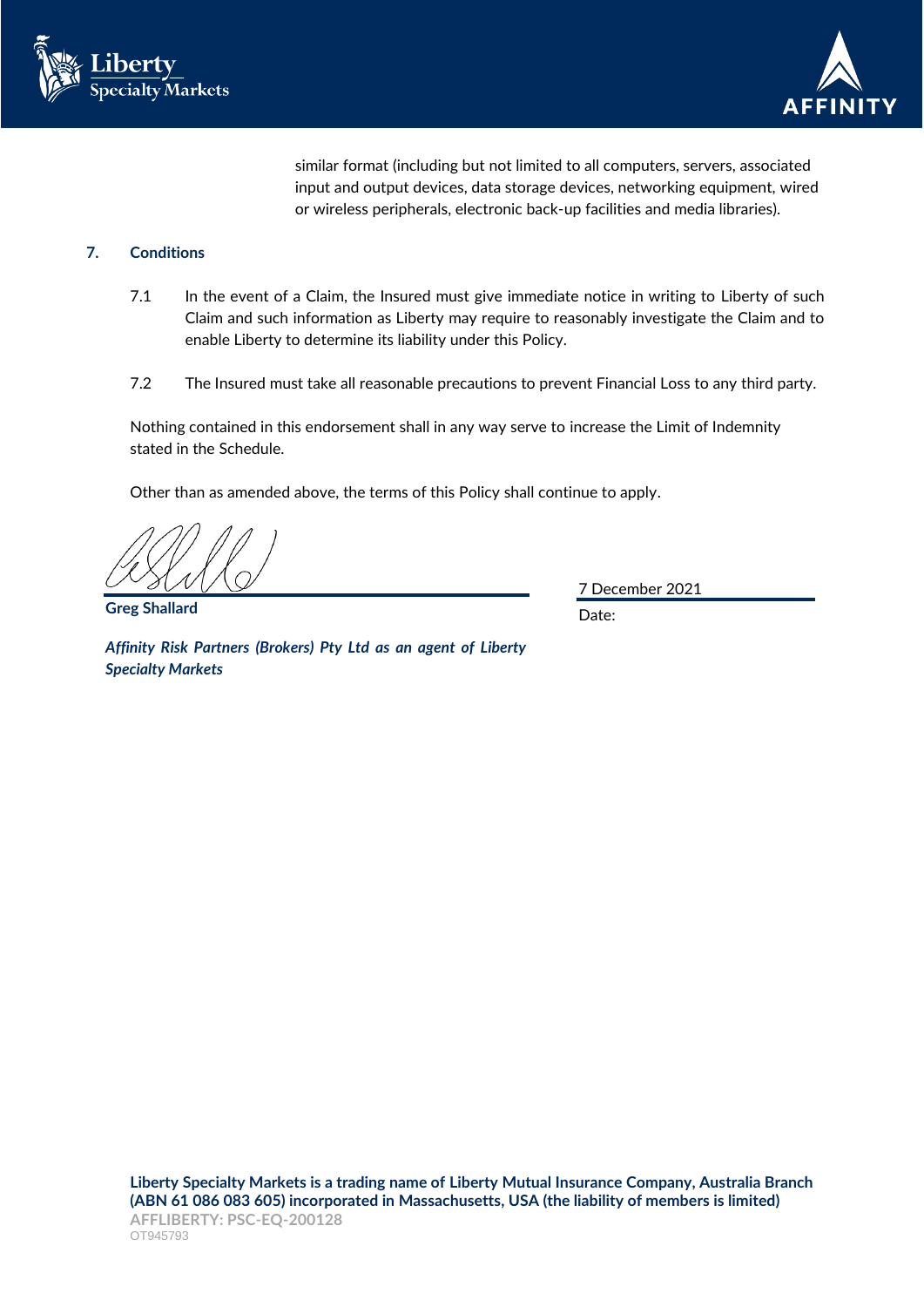



similar format (including but not limited to all computers, servers, associated input and output devices, data storage devices, networking equipment, wired or wireless peripherals, electronic back-up facilities and media libraries).

# **7. Conditions**

- 7.1 In the event of a Claim, the Insured must give immediate notice in writing to Liberty of such Claim and such information as Liberty may require to reasonably investigate the Claim and to enable Liberty to determine its liability under this Policy.
- 7.2 The Insured must take all reasonable precautions to prevent Financial Loss to any third party.

Nothing contained in this endorsement shall in any way serve to increase the Limit of Indemnity stated in the Schedule.

Other than as amended above, the terms of this Policy shall continue to apply.

**Greg Shallard**

7 December 2021

Date:

*Affinity Risk Partners (Brokers) Pty Ltd as an agent of Liberty Specialty Markets*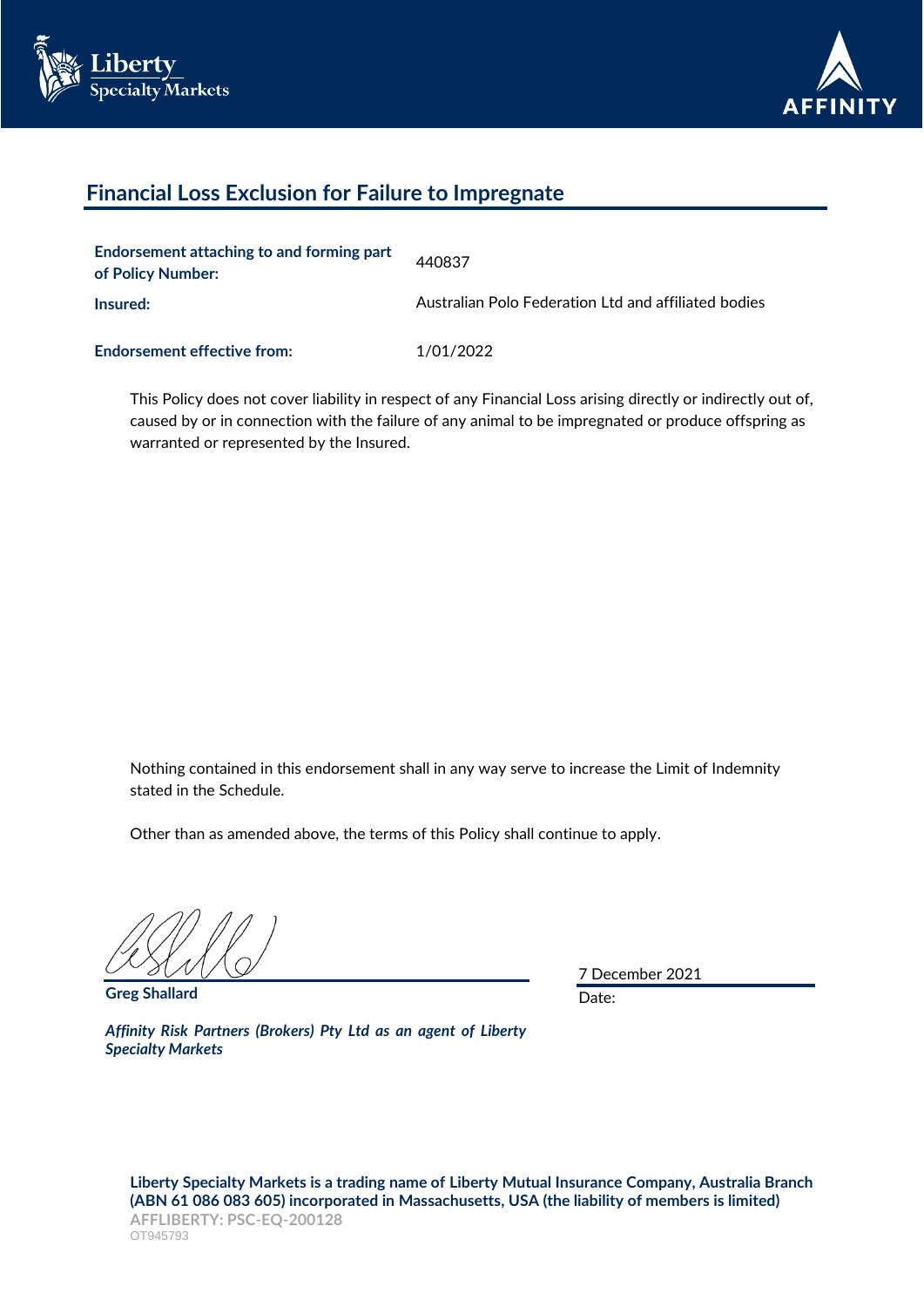



# **Financial Loss Exclusion for Failure to Impregnate**

| Endorsement attaching to and forming part<br>of Policy Number: | 440837                                               |
|----------------------------------------------------------------|------------------------------------------------------|
| Insured:                                                       | Australian Polo Federation Ltd and affiliated bodies |
| <b>Endorsement effective from:</b>                             | 1/01/2022                                            |

This Policy does not cover liability in respect of any Financial Loss arising directly or indirectly out of, caused by or in connection with the failure of any animal to be impregnated or produce offspring as warranted or represented by the Insured.

Nothing contained in this endorsement shall in any way serve to increase the Limit of Indemnity stated in the Schedule.

Other than as amended above, the terms of this Policy shall continue to apply.

**Greg Shallard**

7 December 2021

Date:

*Affinity Risk Partners (Brokers) Pty Ltd as an agent of Liberty Specialty Markets*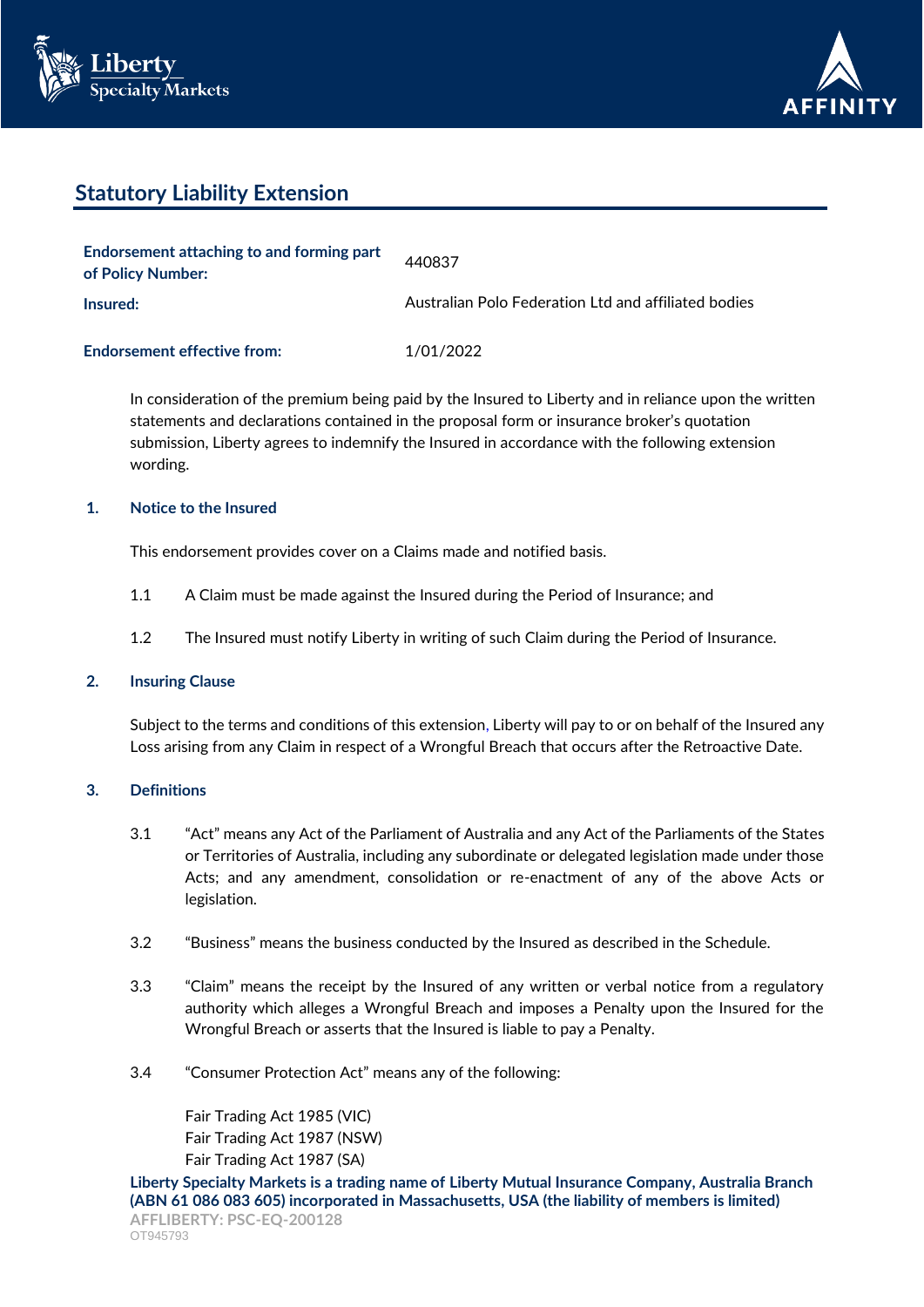



# **Statutory Liability Extension**

| Endorsement attaching to and forming part<br>of Policy Number: | 440837                                               |
|----------------------------------------------------------------|------------------------------------------------------|
| Insured:                                                       | Australian Polo Federation Ltd and affiliated bodies |
| <b>Endorsement effective from:</b>                             | 1/01/2022                                            |

In consideration of the premium being paid by the Insured to Liberty and in reliance upon the written statements and declarations contained in the proposal form or insurance broker's quotation submission, Liberty agrees to indemnify the Insured in accordance with the following extension wording.

# **1. Notice to the Insured**

This endorsement provides cover on a Claims made and notified basis.

- 1.1 A Claim must be made against the Insured during the Period of Insurance; and
- 1.2 The Insured must notify Liberty in writing of such Claim during the Period of Insurance.

## **2. Insuring Clause**

Subject to the terms and conditions of this extension, Liberty will pay to or on behalf of the Insured any Loss arising from any Claim in respect of a Wrongful Breach that occurs after the Retroactive Date.

## **3. Definitions**

- 3.1 "Act" means any Act of the Parliament of Australia and any Act of the Parliaments of the States or Territories of Australia, including any subordinate or delegated legislation made under those Acts; and any amendment, consolidation or re-enactment of any of the above Acts or legislation.
- 3.2 "Business" means the business conducted by the Insured as described in the Schedule.
- 3.3 "Claim" means the receipt by the Insured of any written or verbal notice from a regulatory authority which alleges a Wrongful Breach and imposes a Penalty upon the Insured for the Wrongful Breach or asserts that the Insured is liable to pay a Penalty.
- 3.4 "Consumer Protection Act" means any of the following:

Fair Trading Act 1985 (VIC) Fair Trading Act 1987 (NSW) Fair Trading Act 1987 (SA)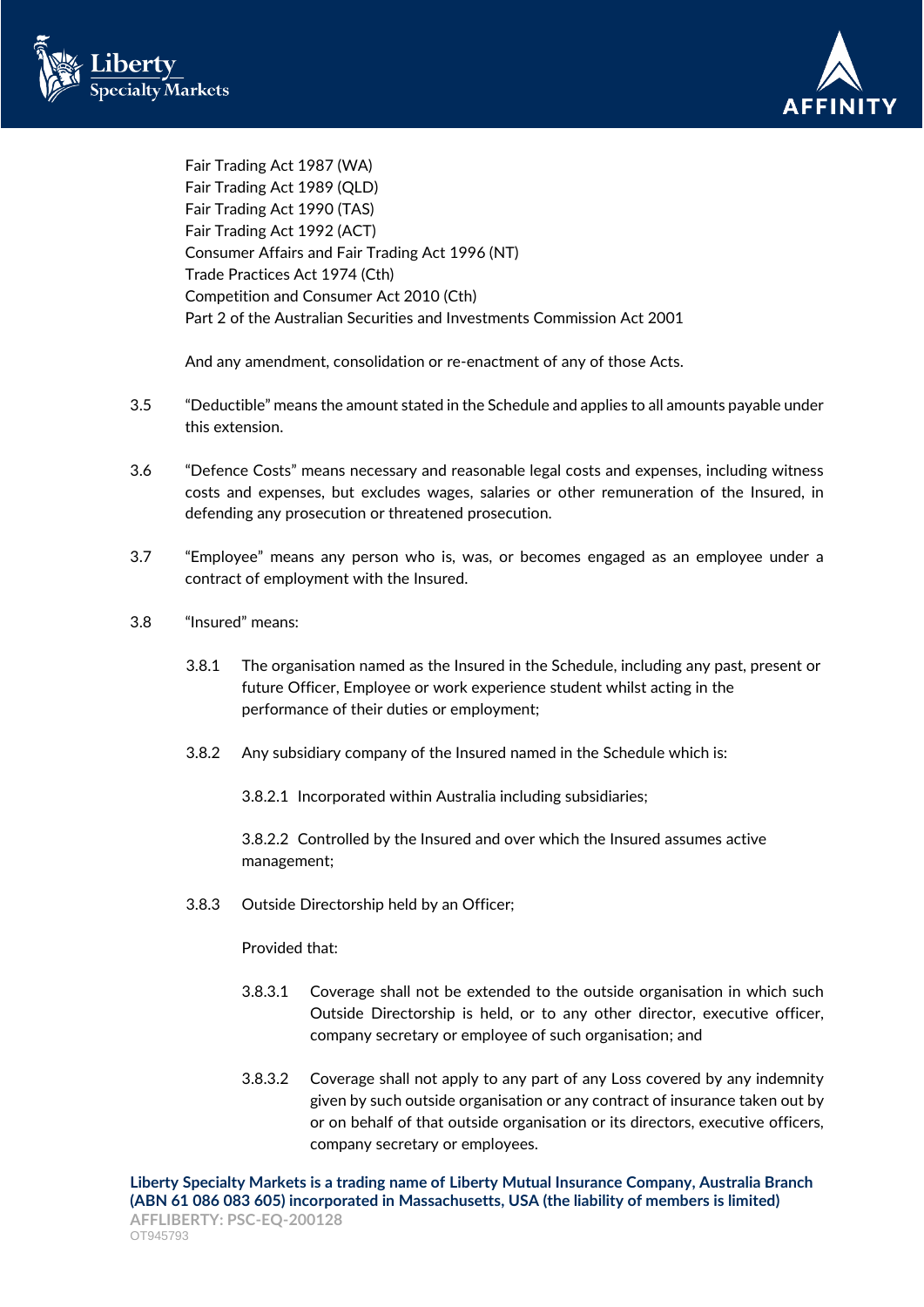



Fair Trading Act 1987 (WA) Fair Trading Act 1989 (QLD) Fair Trading Act 1990 (TAS) Fair Trading Act 1992 (ACT) Consumer Affairs and Fair Trading Act 1996 (NT) Trade Practices Act 1974 (Cth) Competition and Consumer Act 2010 (Cth) Part 2 of the Australian Securities and Investments Commission Act 2001

And any amendment, consolidation or re-enactment of any of those Acts.

- 3.5 "Deductible" means the amount stated in the Schedule and applies to all amounts payable under this extension.
- 3.6 "Defence Costs" means necessary and reasonable legal costs and expenses, including witness costs and expenses, but excludes wages, salaries or other remuneration of the Insured, in defending any prosecution or threatened prosecution.
- 3.7 "Employee" means any person who is, was, or becomes engaged as an employee under a contract of employment with the Insured.
- 3.8 "Insured" means:
	- 3.8.1 The organisation named as the Insured in the Schedule, including any past, present or future Officer, Employee or work experience student whilst acting in the performance of their duties or employment;
	- 3.8.2 Any subsidiary company of the Insured named in the Schedule which is:

3.8.2.1 Incorporated within Australia including subsidiaries;

3.8.2.2 Controlled by the Insured and over which the Insured assumes active management;

3.8.3 Outside Directorship held by an Officer;

Provided that:

- 3.8.3.1 Coverage shall not be extended to the outside organisation in which such Outside Directorship is held, or to any other director, executive officer, company secretary or employee of such organisation; and
- 3.8.3.2 Coverage shall not apply to any part of any Loss covered by any indemnity given by such outside organisation or any contract of insurance taken out by or on behalf of that outside organisation or its directors, executive officers, company secretary or employees.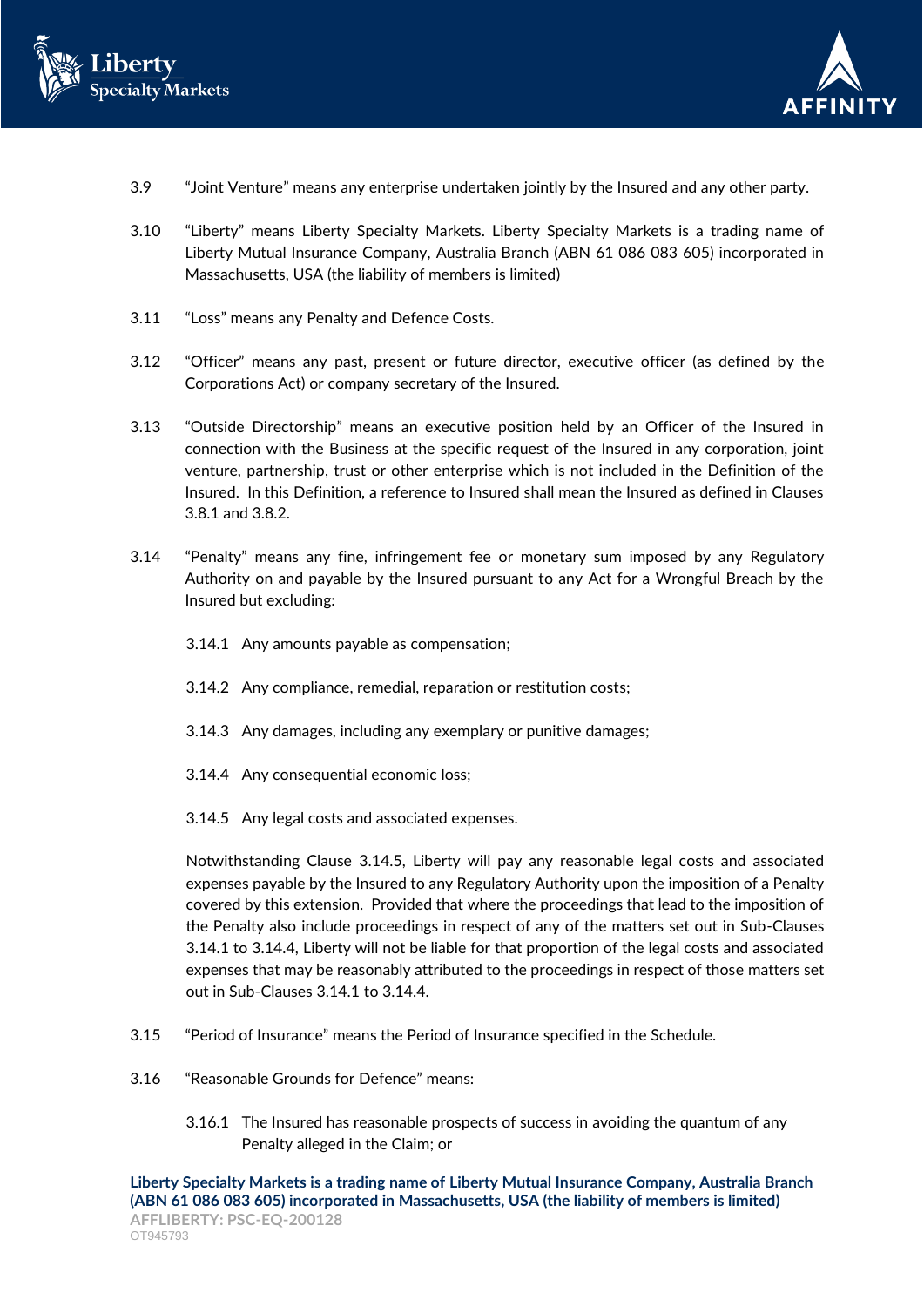



- 3.9 "Joint Venture" means any enterprise undertaken jointly by the Insured and any other party.
- 3.10 "Liberty" means Liberty Specialty Markets. Liberty Specialty Markets is a trading name of Liberty Mutual Insurance Company, Australia Branch (ABN 61 086 083 605) incorporated in Massachusetts, USA (the liability of members is limited)
- 3.11 "Loss" means any Penalty and Defence Costs.
- 3.12 "Officer" means any past, present or future director, executive officer (as defined by the Corporations Act) or company secretary of the Insured.
- 3.13 "Outside Directorship" means an executive position held by an Officer of the Insured in connection with the Business at the specific request of the Insured in any corporation, joint venture, partnership, trust or other enterprise which is not included in the Definition of the Insured. In this Definition, a reference to Insured shall mean the Insured as defined in Clauses 3.8.1 and 3.8.2.
- 3.14 "Penalty" means any fine, infringement fee or monetary sum imposed by any Regulatory Authority on and payable by the Insured pursuant to any Act for a Wrongful Breach by the Insured but excluding:
	- 3.14.1 Any amounts payable as compensation;
	- 3.14.2 Any compliance, remedial, reparation or restitution costs;
	- 3.14.3 Any damages, including any exemplary or punitive damages;
	- 3.14.4 Any consequential economic loss;
	- 3.14.5 Any legal costs and associated expenses.

Notwithstanding Clause 3.14.5, Liberty will pay any reasonable legal costs and associated expenses payable by the Insured to any Regulatory Authority upon the imposition of a Penalty covered by this extension. Provided that where the proceedings that lead to the imposition of the Penalty also include proceedings in respect of any of the matters set out in Sub-Clauses 3.14.1 to 3.14.4, Liberty will not be liable for that proportion of the legal costs and associated expenses that may be reasonably attributed to the proceedings in respect of those matters set out in Sub-Clauses 3.14.1 to 3.14.4.

- 3.15 "Period of Insurance" means the Period of Insurance specified in the Schedule.
- 3.16 "Reasonable Grounds for Defence" means:
	- 3.16.1 The Insured has reasonable prospects of success in avoiding the quantum of any Penalty alleged in the Claim; or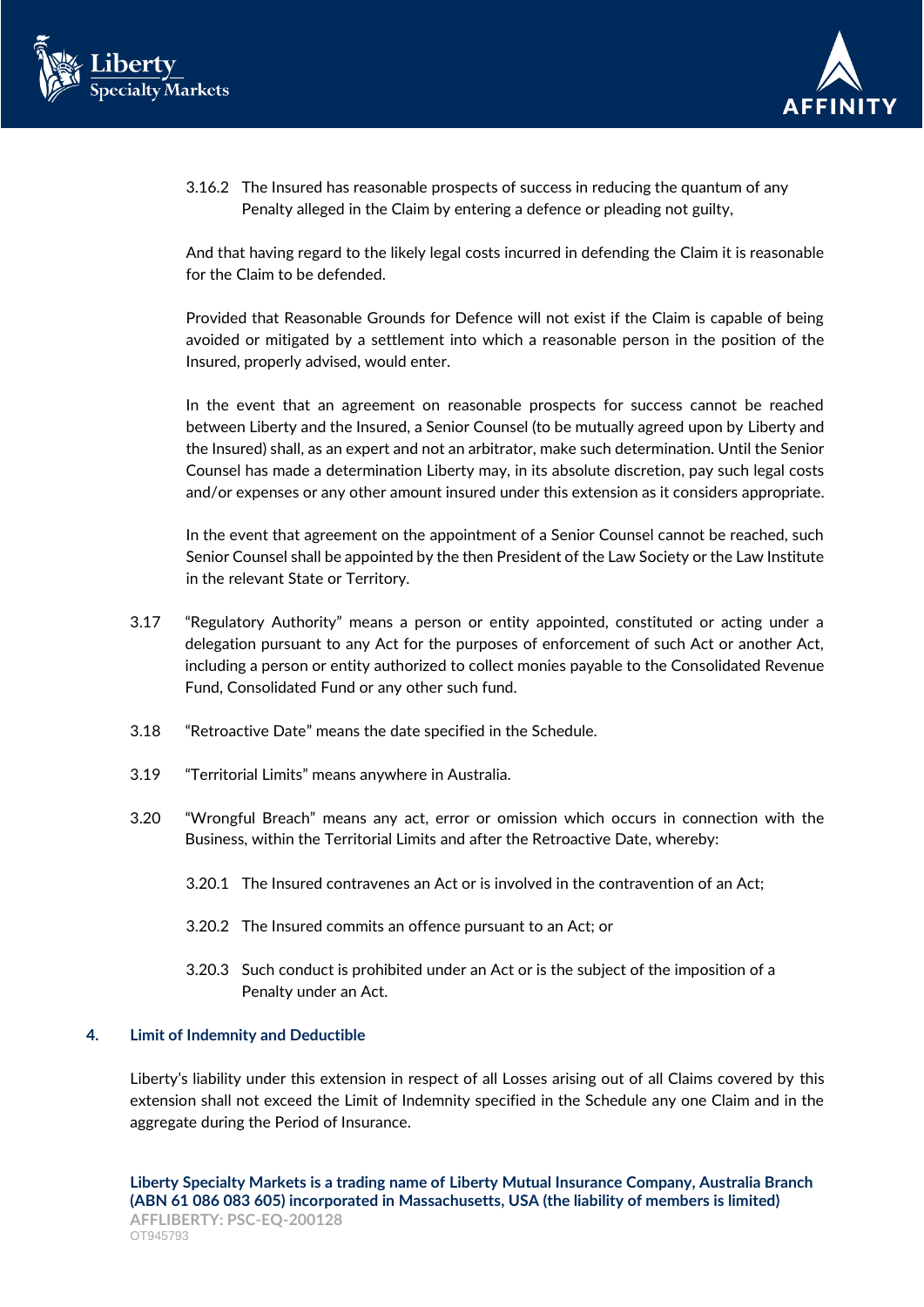



3.16.2 The Insured has reasonable prospects of success in reducing the quantum of any Penalty alleged in the Claim by entering a defence or pleading not guilty,

And that having regard to the likely legal costs incurred in defending the Claim it is reasonable for the Claim to be defended.

Provided that Reasonable Grounds for Defence will not exist if the Claim is capable of being avoided or mitigated by a settlement into which a reasonable person in the position of the Insured, properly advised, would enter.

In the event that an agreement on reasonable prospects for success cannot be reached between Liberty and the Insured, a Senior Counsel (to be mutually agreed upon by Liberty and the Insured) shall, as an expert and not an arbitrator, make such determination. Until the Senior Counsel has made a determination Liberty may, in its absolute discretion, pay such legal costs and/or expenses or any other amount insured under this extension as it considers appropriate.

In the event that agreement on the appointment of a Senior Counsel cannot be reached, such Senior Counsel shall be appointed by the then President of the Law Society or the Law Institute in the relevant State or Territory.

- 3.17 "Regulatory Authority" means a person or entity appointed, constituted or acting under a delegation pursuant to any Act for the purposes of enforcement of such Act or another Act, including a person or entity authorized to collect monies payable to the Consolidated Revenue Fund, Consolidated Fund or any other such fund.
- 3.18 "Retroactive Date" means the date specified in the Schedule.
- 3.19 "Territorial Limits" means anywhere in Australia.
- 3.20 "Wrongful Breach" means any act, error or omission which occurs in connection with the Business, within the Territorial Limits and after the Retroactive Date, whereby:
	- 3.20.1 The Insured contravenes an Act or is involved in the contravention of an Act;
	- 3.20.2 The Insured commits an offence pursuant to an Act; or
	- 3.20.3 Such conduct is prohibited under an Act or is the subject of the imposition of a Penalty under an Act.

### **4. Limit of Indemnity and Deductible**

Liberty's liability under this extension in respect of all Losses arising out of all Claims covered by this extension shall not exceed the Limit of Indemnity specified in the Schedule any one Claim and in the aggregate during the Period of Insurance.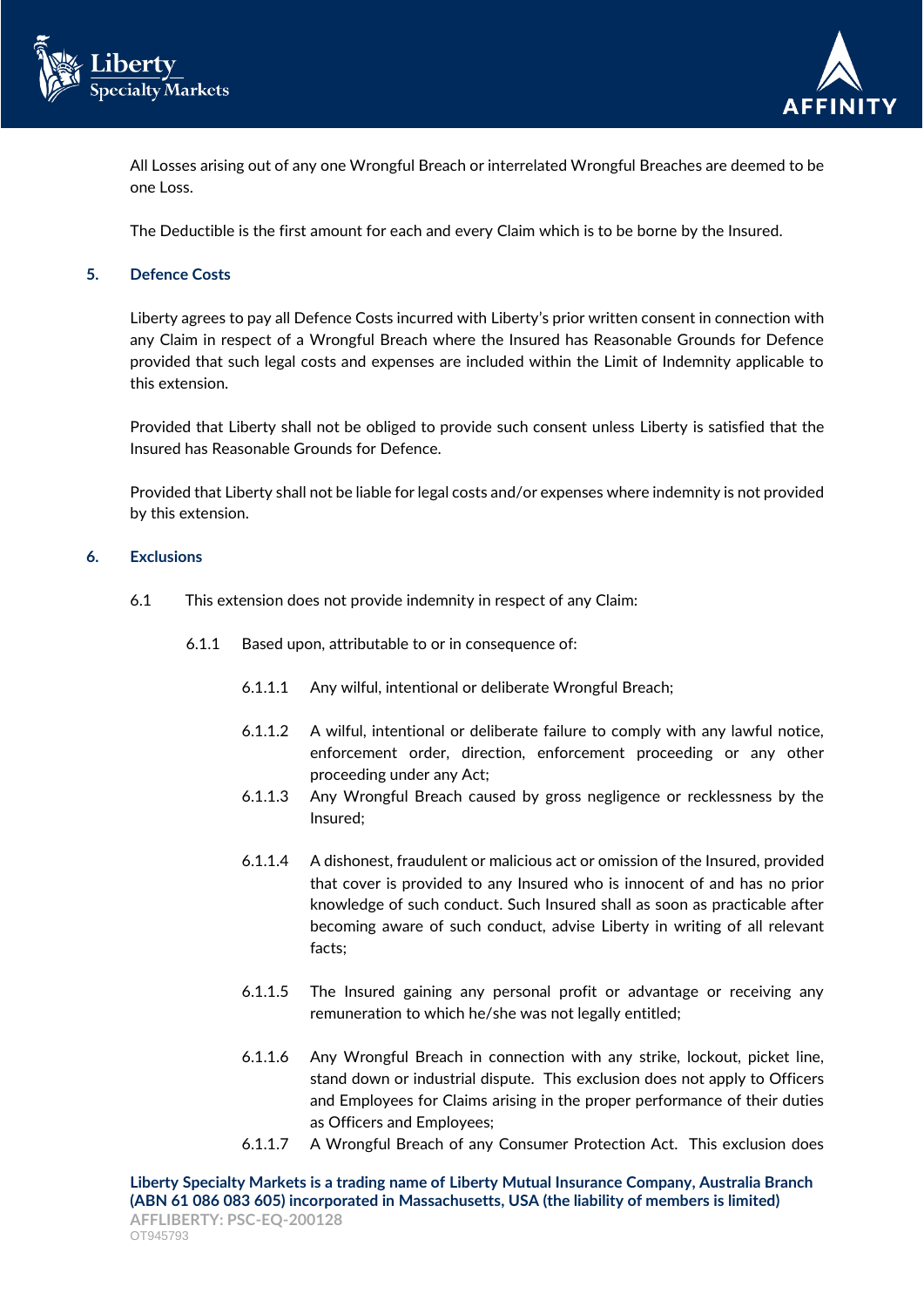



All Losses arising out of any one Wrongful Breach or interrelated Wrongful Breaches are deemed to be one Loss.

The Deductible is the first amount for each and every Claim which is to be borne by the Insured.

## **5. Defence Costs**

Liberty agrees to pay all Defence Costs incurred with Liberty's prior written consent in connection with any Claim in respect of a Wrongful Breach where the Insured has Reasonable Grounds for Defence provided that such legal costs and expenses are included within the Limit of Indemnity applicable to this extension.

Provided that Liberty shall not be obliged to provide such consent unless Liberty is satisfied that the Insured has Reasonable Grounds for Defence.

Provided that Liberty shall not be liable for legal costs and/or expenses where indemnity is not provided by this extension.

### **6. Exclusions**

- 6.1 This extension does not provide indemnity in respect of any Claim:
	- 6.1.1 Based upon, attributable to or in consequence of:
		- 6.1.1.1 Any wilful, intentional or deliberate Wrongful Breach;
		- 6.1.1.2 A wilful, intentional or deliberate failure to comply with any lawful notice, enforcement order, direction, enforcement proceeding or any other proceeding under any Act;
		- 6.1.1.3 Any Wrongful Breach caused by gross negligence or recklessness by the Insured;
		- 6.1.1.4 A dishonest, fraudulent or malicious act or omission of the Insured, provided that cover is provided to any Insured who is innocent of and has no prior knowledge of such conduct. Such Insured shall as soon as practicable after becoming aware of such conduct, advise Liberty in writing of all relevant facts;
		- 6.1.1.5 The Insured gaining any personal profit or advantage or receiving any remuneration to which he/she was not legally entitled;
		- 6.1.1.6 Any Wrongful Breach in connection with any strike, lockout, picket line, stand down or industrial dispute. This exclusion does not apply to Officers and Employees for Claims arising in the proper performance of their duties as Officers and Employees;
		- 6.1.1.7 A Wrongful Breach of any Consumer Protection Act. This exclusion does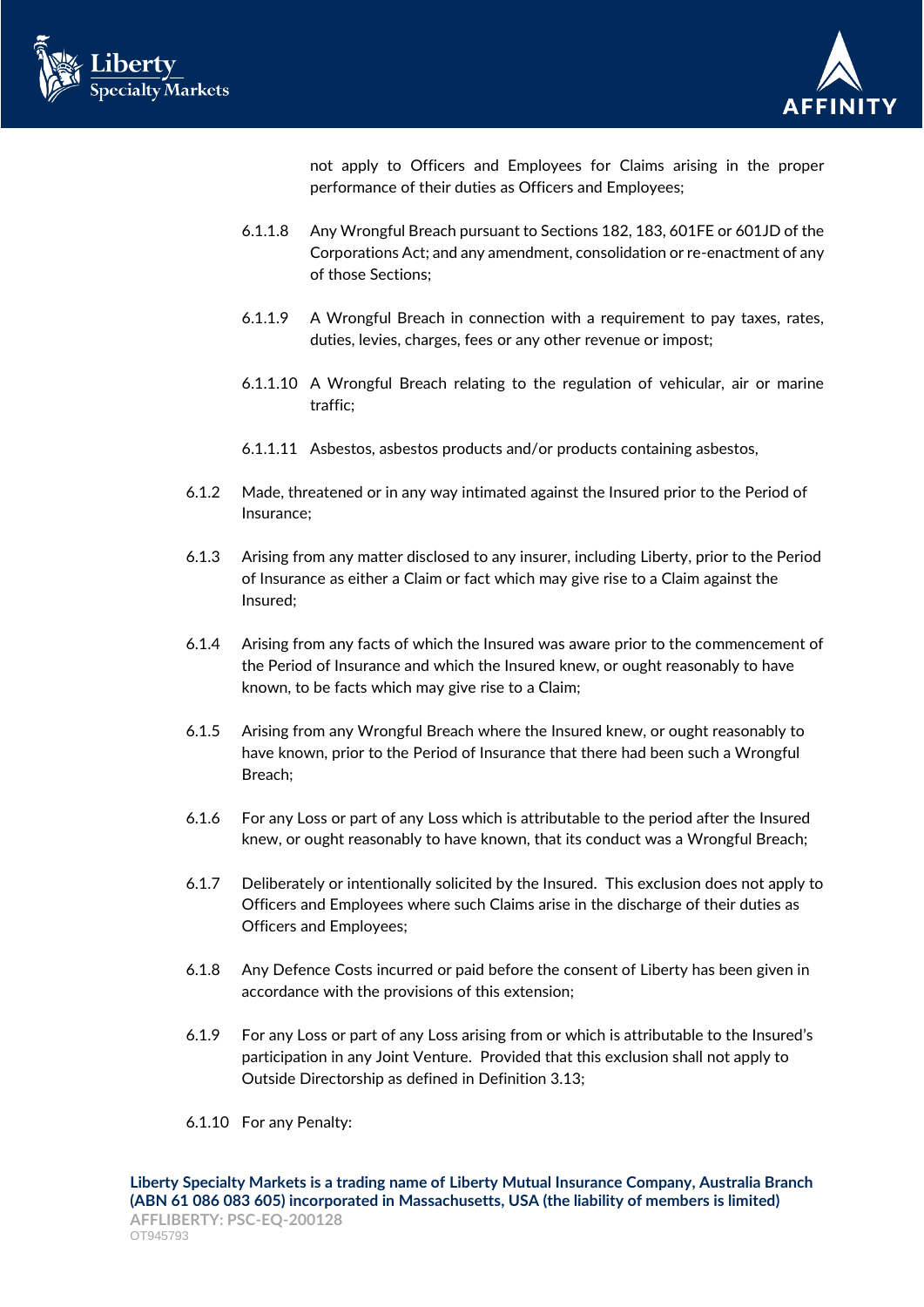



not apply to Officers and Employees for Claims arising in the proper performance of their duties as Officers and Employees;

- 6.1.1.8 Any Wrongful Breach pursuant to Sections 182, 183, 601FE or 601JD of the Corporations Act; and any amendment, consolidation or re-enactment of any of those Sections;
- 6.1.1.9 A Wrongful Breach in connection with a requirement to pay taxes, rates, duties, levies, charges, fees or any other revenue or impost;
- 6.1.1.10 A Wrongful Breach relating to the regulation of vehicular, air or marine traffic;
- 6.1.1.11 Asbestos, asbestos products and/or products containing asbestos,
- 6.1.2 Made, threatened or in any way intimated against the Insured prior to the Period of Insurance;
- 6.1.3 Arising from any matter disclosed to any insurer, including Liberty, prior to the Period of Insurance as either a Claim or fact which may give rise to a Claim against the Insured;
- 6.1.4 Arising from any facts of which the Insured was aware prior to the commencement of the Period of Insurance and which the Insured knew, or ought reasonably to have known, to be facts which may give rise to a Claim;
- 6.1.5 Arising from any Wrongful Breach where the Insured knew, or ought reasonably to have known, prior to the Period of Insurance that there had been such a Wrongful Breach;
- 6.1.6 For any Loss or part of any Loss which is attributable to the period after the Insured knew, or ought reasonably to have known, that its conduct was a Wrongful Breach;
- 6.1.7 Deliberately or intentionally solicited by the Insured. This exclusion does not apply to Officers and Employees where such Claims arise in the discharge of their duties as Officers and Employees;
- 6.1.8 Any Defence Costs incurred or paid before the consent of Liberty has been given in accordance with the provisions of this extension;
- 6.1.9 For any Loss or part of any Loss arising from or which is attributable to the Insured's participation in any Joint Venture. Provided that this exclusion shall not apply to Outside Directorship as defined in Definition 3.13;
- 6.1.10 For any Penalty: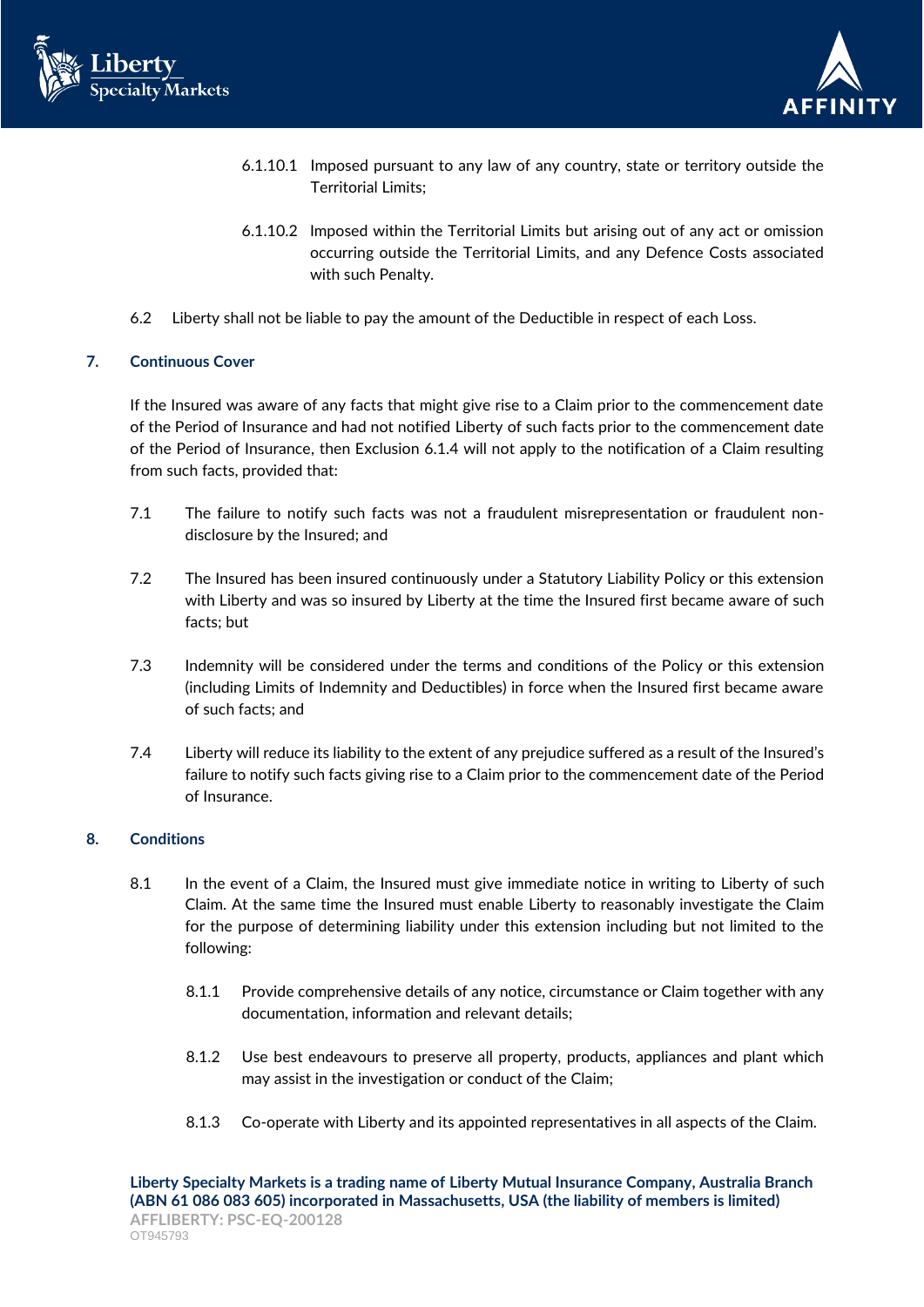



- 6.1.10.1 Imposed pursuant to any law of any country, state or territory outside the Territorial Limits;
- 6.1.10.2 Imposed within the Territorial Limits but arising out of any act or omission occurring outside the Territorial Limits, and any Defence Costs associated with such Penalty.
- 6.2 Liberty shall not be liable to pay the amount of the Deductible in respect of each Loss.

## **7. Continuous Cover**

If the Insured was aware of any facts that might give rise to a Claim prior to the commencement date of the Period of Insurance and had not notified Liberty of such facts prior to the commencement date of the Period of Insurance, then Exclusion 6.1.4 will not apply to the notification of a Claim resulting from such facts, provided that:

- 7.1 The failure to notify such facts was not a fraudulent misrepresentation or fraudulent nondisclosure by the Insured; and
- 7.2 The Insured has been insured continuously under a Statutory Liability Policy or this extension with Liberty and was so insured by Liberty at the time the Insured first became aware of such facts; but
- 7.3 Indemnity will be considered under the terms and conditions of the Policy or this extension (including Limits of Indemnity and Deductibles) in force when the Insured first became aware of such facts; and
- 7.4 Liberty will reduce its liability to the extent of any prejudice suffered as a result of the Insured's failure to notify such facts giving rise to a Claim prior to the commencement date of the Period of Insurance.

# **8. Conditions**

- 8.1 In the event of a Claim, the Insured must give immediate notice in writing to Liberty of such Claim. At the same time the Insured must enable Liberty to reasonably investigate the Claim for the purpose of determining liability under this extension including but not limited to the following:
	- 8.1.1 Provide comprehensive details of any notice, circumstance or Claim together with any documentation, information and relevant details;
	- 8.1.2 Use best endeavours to preserve all property, products, appliances and plant which may assist in the investigation or conduct of the Claim;
	- 8.1.3 Co-operate with Liberty and its appointed representatives in all aspects of the Claim.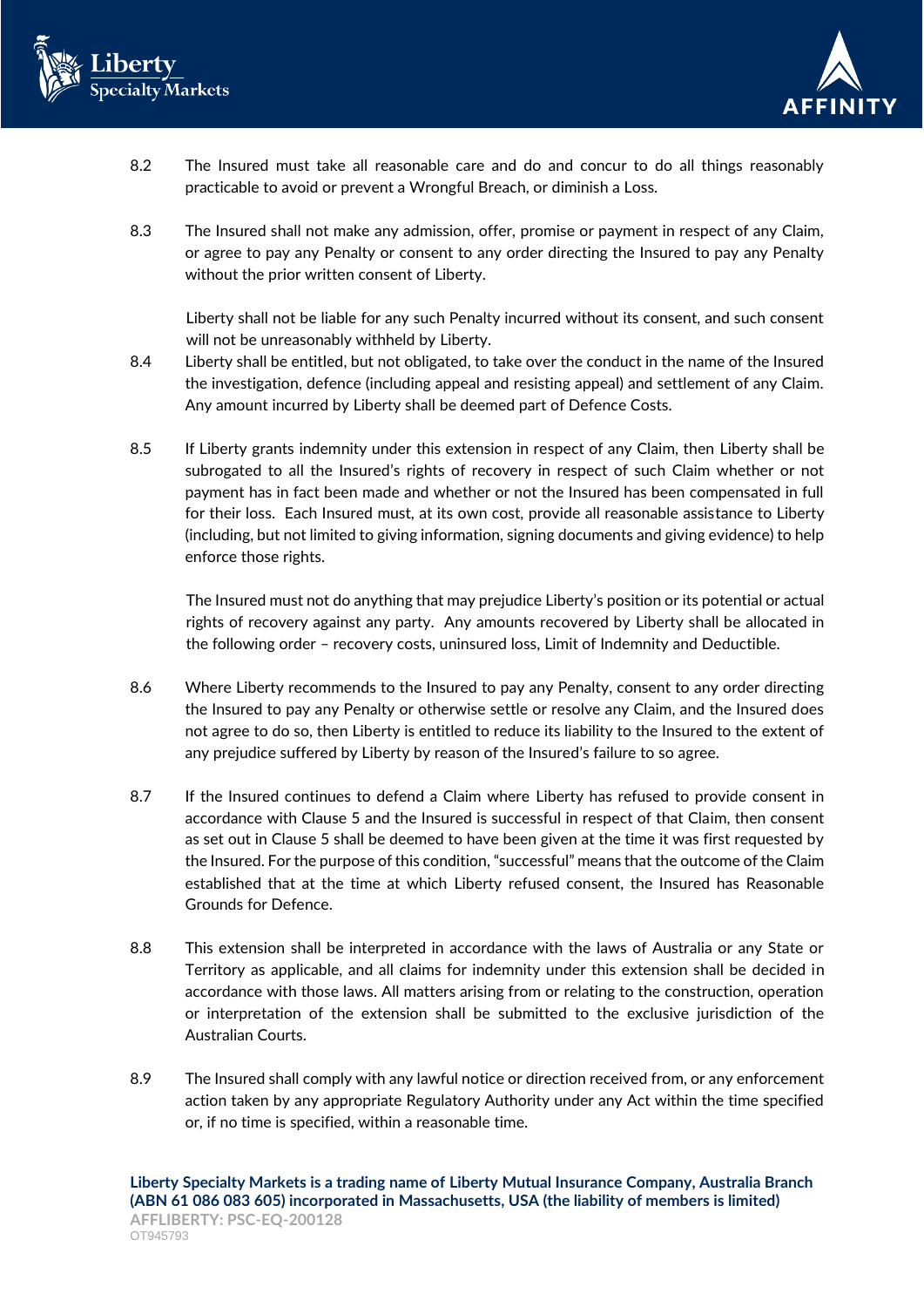



- 8.2 The Insured must take all reasonable care and do and concur to do all things reasonably practicable to avoid or prevent a Wrongful Breach, or diminish a Loss.
- 8.3 The Insured shall not make any admission, offer, promise or payment in respect of any Claim, or agree to pay any Penalty or consent to any order directing the Insured to pay any Penalty without the prior written consent of Liberty.

Liberty shall not be liable for any such Penalty incurred without its consent, and such consent will not be unreasonably withheld by Liberty.

- 8.4 Liberty shall be entitled, but not obligated, to take over the conduct in the name of the Insured the investigation, defence (including appeal and resisting appeal) and settlement of any Claim. Any amount incurred by Liberty shall be deemed part of Defence Costs.
- 8.5 If Liberty grants indemnity under this extension in respect of any Claim, then Liberty shall be subrogated to all the Insured's rights of recovery in respect of such Claim whether or not payment has in fact been made and whether or not the Insured has been compensated in full for their loss. Each Insured must, at its own cost, provide all reasonable assistance to Liberty (including, but not limited to giving information, signing documents and giving evidence) to help enforce those rights.

The Insured must not do anything that may prejudice Liberty's position or its potential or actual rights of recovery against any party. Any amounts recovered by Liberty shall be allocated in the following order – recovery costs, uninsured loss, Limit of Indemnity and Deductible.

- 8.6 Where Liberty recommends to the Insured to pay any Penalty, consent to any order directing the Insured to pay any Penalty or otherwise settle or resolve any Claim, and the Insured does not agree to do so, then Liberty is entitled to reduce its liability to the Insured to the extent of any prejudice suffered by Liberty by reason of the Insured's failure to so agree.
- 8.7 If the Insured continues to defend a Claim where Liberty has refused to provide consent in accordance with Clause 5 and the Insured is successful in respect of that Claim, then consent as set out in Clause 5 shall be deemed to have been given at the time it was first requested by the Insured. For the purpose of this condition, "successful" means that the outcome of the Claim established that at the time at which Liberty refused consent, the Insured has Reasonable Grounds for Defence.
- 8.8 This extension shall be interpreted in accordance with the laws of Australia or any State or Territory as applicable, and all claims for indemnity under this extension shall be decided in accordance with those laws. All matters arising from or relating to the construction, operation or interpretation of the extension shall be submitted to the exclusive jurisdiction of the Australian Courts.
- 8.9 The Insured shall comply with any lawful notice or direction received from, or any enforcement action taken by any appropriate Regulatory Authority under any Act within the time specified or, if no time is specified, within a reasonable time.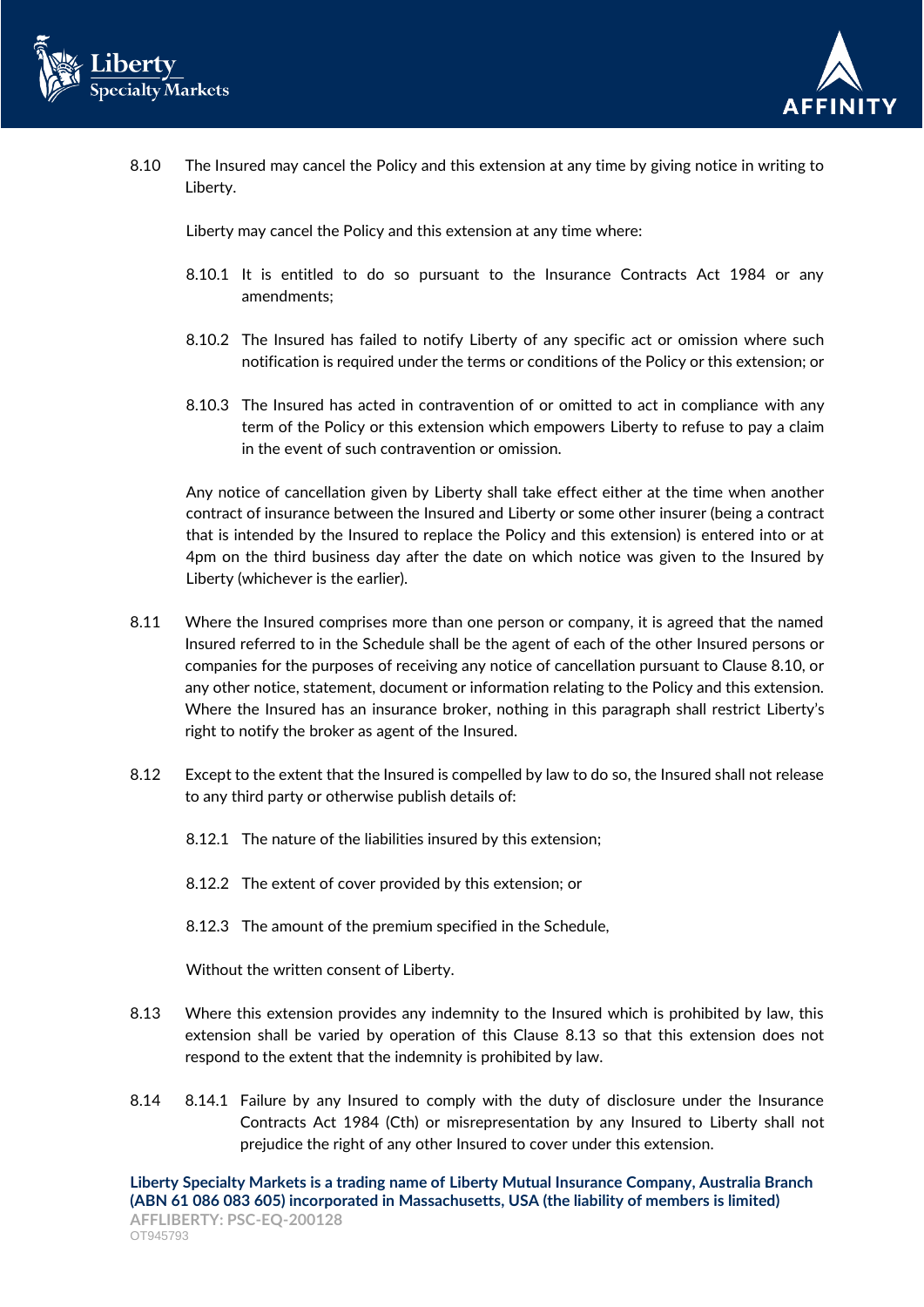



8.10 The Insured may cancel the Policy and this extension at any time by giving notice in writing to Liberty.

Liberty may cancel the Policy and this extension at any time where:

- 8.10.1 It is entitled to do so pursuant to the Insurance Contracts Act 1984 or any amendments;
- 8.10.2 The Insured has failed to notify Liberty of any specific act or omission where such notification is required under the terms or conditions of the Policy or this extension; or
- 8.10.3 The Insured has acted in contravention of or omitted to act in compliance with any term of the Policy or this extension which empowers Liberty to refuse to pay a claim in the event of such contravention or omission.

Any notice of cancellation given by Liberty shall take effect either at the time when another contract of insurance between the Insured and Liberty or some other insurer (being a contract that is intended by the Insured to replace the Policy and this extension) is entered into or at 4pm on the third business day after the date on which notice was given to the Insured by Liberty (whichever is the earlier).

- 8.11 Where the Insured comprises more than one person or company, it is agreed that the named Insured referred to in the Schedule shall be the agent of each of the other Insured persons or companies for the purposes of receiving any notice of cancellation pursuant to Clause 8.10, or any other notice, statement, document or information relating to the Policy and this extension. Where the Insured has an insurance broker, nothing in this paragraph shall restrict Liberty's right to notify the broker as agent of the Insured.
- 8.12 Except to the extent that the Insured is compelled by law to do so, the Insured shall not release to any third party or otherwise publish details of:
	- 8.12.1 The nature of the liabilities insured by this extension;
	- 8.12.2 The extent of cover provided by this extension; or
	- 8.12.3 The amount of the premium specified in the Schedule,

Without the written consent of Liberty.

- 8.13 Where this extension provides any indemnity to the Insured which is prohibited by law, this extension shall be varied by operation of this Clause 8.13 so that this extension does not respond to the extent that the indemnity is prohibited by law.
- 8.14 8.14.1 Failure by any Insured to comply with the duty of disclosure under the Insurance Contracts Act 1984 (Cth) or misrepresentation by any Insured to Liberty shall not prejudice the right of any other Insured to cover under this extension.